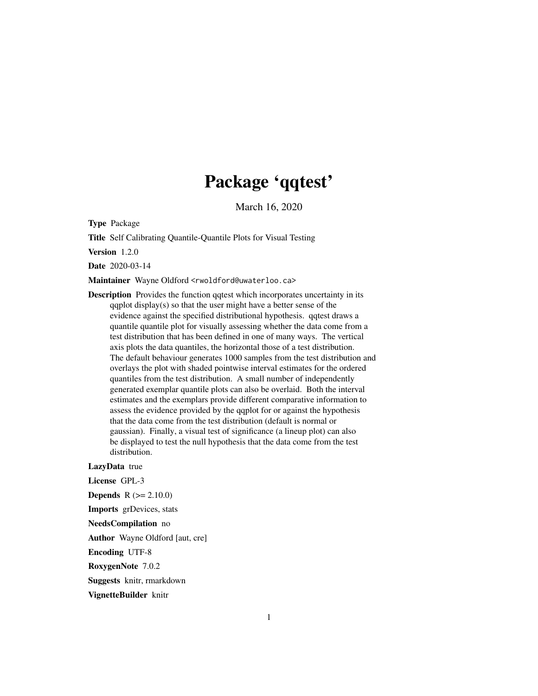# Package 'qqtest'

March 16, 2020

Type Package

Title Self Calibrating Quantile-Quantile Plots for Visual Testing

Version 1.2.0

Date 2020-03-14

Maintainer Wayne Oldford <rwoldford@uwaterloo.ca>

Description Provides the function qqtest which incorporates uncertainty in its  $qqplot display(s) so that the user might have a better sense of the$ evidence against the specified distributional hypothesis. qqtest draws a quantile quantile plot for visually assessing whether the data come from a test distribution that has been defined in one of many ways. The vertical axis plots the data quantiles, the horizontal those of a test distribution. The default behaviour generates 1000 samples from the test distribution and overlays the plot with shaded pointwise interval estimates for the ordered quantiles from the test distribution. A small number of independently generated exemplar quantile plots can also be overlaid. Both the interval estimates and the exemplars provide different comparative information to assess the evidence provided by the qqplot for or against the hypothesis that the data come from the test distribution (default is normal or gaussian). Finally, a visual test of significance (a lineup plot) can also be displayed to test the null hypothesis that the data come from the test distribution.

#### LazyData true

License GPL-3 **Depends**  $R (= 2.10.0)$ Imports grDevices, stats NeedsCompilation no Author Wayne Oldford [aut, cre] Encoding UTF-8 RoxygenNote 7.0.2

Suggests knitr, rmarkdown

VignetteBuilder knitr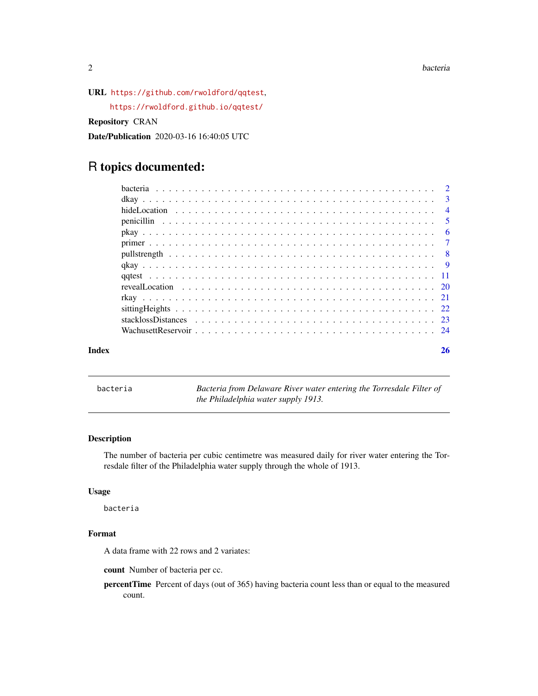<span id="page-1-0"></span>2 bacteria de la contrada de la contrada de la contrada de la contrada de la contrada de la contrada de la con

URL <https://github.com/rwoldford/qqtest>,

<https://rwoldford.github.io/qqtest/>

Repository CRAN

Date/Publication 2020-03-16 16:40:05 UTC

# R topics documented:

|       |                | $\overline{4}$ |
|-------|----------------|----------------|
|       | $\overline{5}$ |                |
|       |                | - 6            |
|       |                |                |
|       |                |                |
|       |                |                |
|       |                |                |
|       |                |                |
|       |                |                |
|       |                |                |
|       |                |                |
|       |                |                |
| Index |                | 26             |

bacteria *Bacteria from Delaware River water entering the Torresdale Filter of the Philadelphia water supply 1913.*

# Description

The number of bacteria per cubic centimetre was measured daily for river water entering the Torresdale filter of the Philadelphia water supply through the whole of 1913.

### Usage

bacteria

# Format

A data frame with 22 rows and 2 variates:

count Number of bacteria per cc.

percentTime Percent of days (out of 365) having bacteria count less than or equal to the measured count.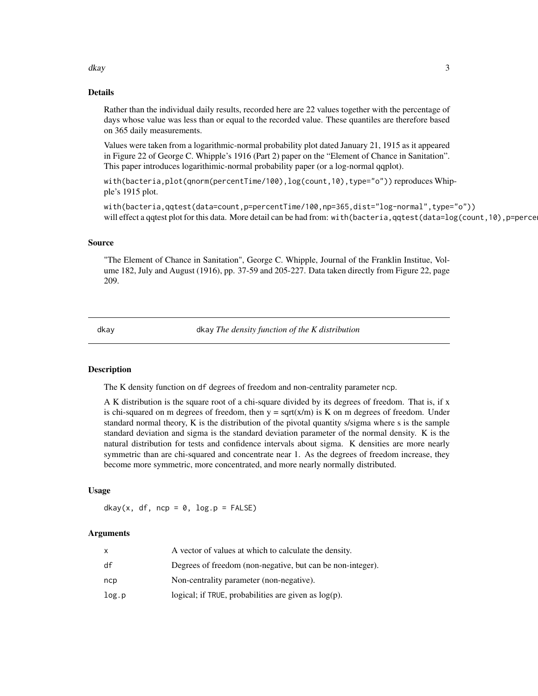#### <span id="page-2-0"></span>dkay 3

#### Details

Rather than the individual daily results, recorded here are 22 values together with the percentage of days whose value was less than or equal to the recorded value. These quantiles are therefore based on 365 daily measurements.

Values were taken from a logarithmic-normal probability plot dated January 21, 1915 as it appeared in Figure 22 of George C. Whipple's 1916 (Part 2) paper on the "Element of Chance in Sanitation". This paper introduces logarithimic-normal probability paper (or a log-normal qqplot).

with(bacteria,plot(qnorm(percentTime/100),log(count,10),type="o")) reproduces Whipple's 1915 plot.

with(bacteria,qqtest(data=count,p=percentTime/100,np=365,dist="log-normal",type="o")) will effect a qqtest plot for this data. More detail can be had from: with (bacteria, qqtest (data= $log(count,10)$ , p=perce

#### Source

"The Element of Chance in Sanitation", George C. Whipple, Journal of the Franklin Institue, Volume 182, July and August (1916), pp. 37-59 and 205-227. Data taken directly from Figure 22, page 209.

dkay dkay *The density function of the K distribution*

#### Description

The K density function on df degrees of freedom and non-centrality parameter ncp.

A K distribution is the square root of a chi-square divided by its degrees of freedom. That is, if x is chi-squared on m degrees of freedom, then  $y = \text{sqrt}(x/m)$  is K on m degrees of freedom. Under standard normal theory, K is the distribution of the pivotal quantity s/sigma where s is the sample standard deviation and sigma is the standard deviation parameter of the normal density. K is the natural distribution for tests and confidence intervals about sigma. K densities are more nearly symmetric than are chi-squared and concentrate near 1. As the degrees of freedom increase, they become more symmetric, more concentrated, and more nearly normally distributed.

#### Usage

dkay(x, df, ncp =  $0$ , log.p = FALSE)

#### Arguments

|       | A vector of values at which to calculate the density.      |
|-------|------------------------------------------------------------|
| df    | Degrees of freedom (non-negative, but can be non-integer). |
| ncp   | Non-centrality parameter (non-negative).                   |
| log.p | logical; if TRUE, probabilities are given as $log(p)$ .    |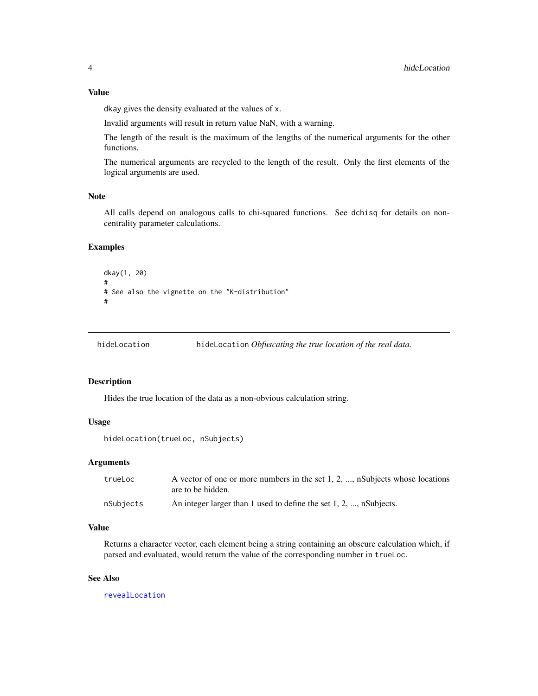# <span id="page-3-0"></span>Value

dkay gives the density evaluated at the values of x.

Invalid arguments will result in return value NaN, with a warning.

The length of the result is the maximum of the lengths of the numerical arguments for the other functions.

The numerical arguments are recycled to the length of the result. Only the first elements of the logical arguments are used.

#### Note

All calls depend on analogous calls to chi-squared functions. See dchisq for details on noncentrality parameter calculations.

# Examples

```
dkay(1, 20)
#
# See also the vignette on the "K-distribution"
#
```
<span id="page-3-1"></span>hideLocation hideLocation *Obfuscating the true location of the real data.*

#### Description

Hides the true location of the data as a non-obvious calculation string.

#### Usage

```
hideLocation(trueLoc, nSubjects)
```
#### Arguments

| trueLoc   | A vector of one or more numbers in the set $1, 2, \dots$ , nSubjects whose locations |
|-----------|--------------------------------------------------------------------------------------|
|           | are to be hidden.                                                                    |
| nSubjects | An integer larger than 1 used to define the set $1, 2, \ldots$ , nSubjects.          |

# Value

Returns a character vector, each element being a string containing an obscure calculation which, if parsed and evaluated, would return the value of the corresponding number in trueLoc.

#### See Also

[revealLocation](#page-19-1)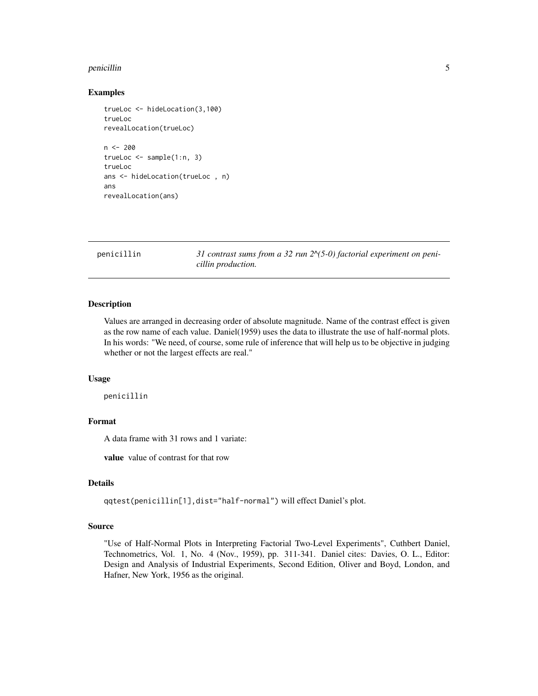#### <span id="page-4-0"></span>penicillin 5

#### Examples

```
trueLoc <- hideLocation(3,100)
trueLoc
revealLocation(trueLoc)
n <- 200
trueLoc \leq sample(1:n, 3)trueLoc
ans <- hideLocation(trueLoc , n)
ans
revealLocation(ans)
```
penicillin *31 contrast sums from a 32 run 2^(5-0) factorial experiment on penicillin production.*

# Description

Values are arranged in decreasing order of absolute magnitude. Name of the contrast effect is given as the row name of each value. Daniel(1959) uses the data to illustrate the use of half-normal plots. In his words: "We need, of course, some rule of inference that will help us to be objective in judging whether or not the largest effects are real."

#### Usage

penicillin

#### Format

A data frame with 31 rows and 1 variate:

value value of contrast for that row

# Details

qqtest(penicillin[1],dist="half-normal") will effect Daniel's plot.

#### Source

"Use of Half-Normal Plots in Interpreting Factorial Two-Level Experiments", Cuthbert Daniel, Technometrics, Vol. 1, No. 4 (Nov., 1959), pp. 311-341. Daniel cites: Davies, O. L., Editor: Design and Analysis of Industrial Experiments, Second Edition, Oliver and Boyd, London, and Hafner, New York, 1956 as the original.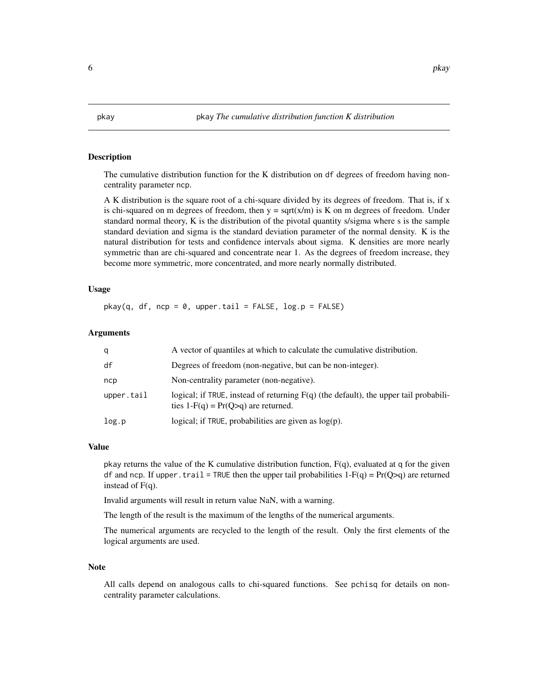#### <span id="page-5-0"></span>Description

The cumulative distribution function for the K distribution on df degrees of freedom having noncentrality parameter ncp.

A K distribution is the square root of a chi-square divided by its degrees of freedom. That is, if x is chi-squared on m degrees of freedom, then  $y = \text{sqrt}(x/m)$  is K on m degrees of freedom. Under standard normal theory, K is the distribution of the pivotal quantity s/sigma where s is the sample standard deviation and sigma is the standard deviation parameter of the normal density. K is the natural distribution for tests and confidence intervals about sigma. K densities are more nearly symmetric than are chi-squared and concentrate near 1. As the degrees of freedom increase, they become more symmetric, more concentrated, and more nearly normally distributed.

#### Usage

 $pkay(q, df, ncp = 0, upper.tail = FALSE, log.p = FALSE)$ 

#### Arguments

| a          | A vector of quantiles at which to calculate the cumulative distribution.                                                        |
|------------|---------------------------------------------------------------------------------------------------------------------------------|
| df         | Degrees of freedom (non-negative, but can be non-integer).                                                                      |
| ncp        | Non-centrality parameter (non-negative).                                                                                        |
| upper.tail | logical; if TRUE, instead of returning $F(q)$ (the default), the upper tail probabili-<br>ties $1-F(q) = Pr(Q>q)$ are returned. |
| log.p      | logical; if TRUE, probabilities are given as $log(p)$ .                                                                         |

#### Value

pkay returns the value of the K cumulative distribution function,  $F(q)$ , evaluated at q for the given df and ncp. If upper. trail = TRUE then the upper tail probabilities  $1-F(q) = Pr(Q>q)$  are returned instead of  $F(q)$ .

Invalid arguments will result in return value NaN, with a warning.

The length of the result is the maximum of the lengths of the numerical arguments.

The numerical arguments are recycled to the length of the result. Only the first elements of the logical arguments are used.

#### Note

All calls depend on analogous calls to chi-squared functions. See pchisq for details on noncentrality parameter calculations.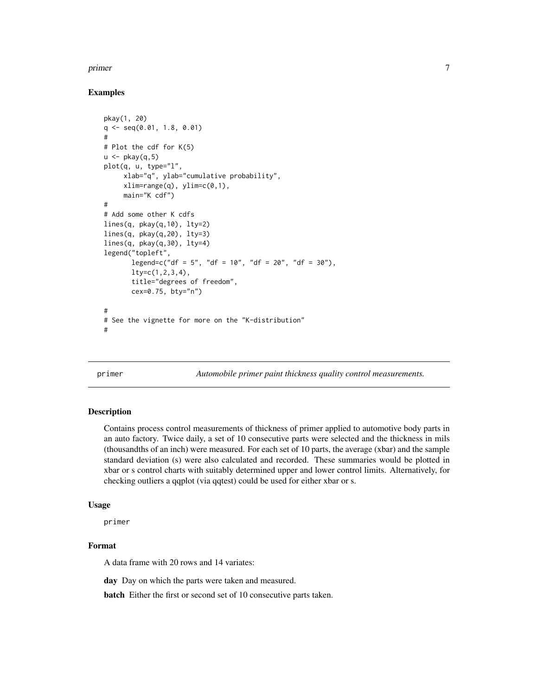#### <span id="page-6-0"></span>primer that the contract of the contract of the contract of the contract of the contract of the contract of the contract of the contract of the contract of the contract of the contract of the contract of the contract of th

#### Examples

```
pkay(1, 20)
q <- seq(0.01, 1.8, 0.01)
#
# Plot the cdf for K(5)
u \leftarrow pkay(q, 5)plot(q, u, type="l",
     xlab="q", ylab="cumulative probability",
     xlim=range(q), ylim=c(0,1),main="K cdf")
#
# Add some other K cdfs
lines(q, pkay(q,10), lty=2)
lines(q, pkay(q,20), lty=3)
lines(q, p\text{kay}(q,30), l\text{ty=4})legend("topleft",
       legend=c("df = 5", "df = 10", "df = 20", "df = 30"),
       lty=c(1,2,3,4),
       title="degrees of freedom",
       cex=0.75, bty="n")
#
# See the vignette for more on the "K-distribution"
#
```
primer *Automobile primer paint thickness quality control measurements.*

#### **Description**

Contains process control measurements of thickness of primer applied to automotive body parts in an auto factory. Twice daily, a set of 10 consecutive parts were selected and the thickness in mils (thousandths of an inch) were measured. For each set of 10 parts, the average (xbar) and the sample standard deviation (s) were also calculated and recorded. These summaries would be plotted in xbar or s control charts with suitably determined upper and lower control limits. Alternatively, for checking outliers a qqplot (via qqtest) could be used for either xbar or s.

#### Usage

primer

# Format

A data frame with 20 rows and 14 variates:

day Day on which the parts were taken and measured.

batch Either the first or second set of 10 consecutive parts taken.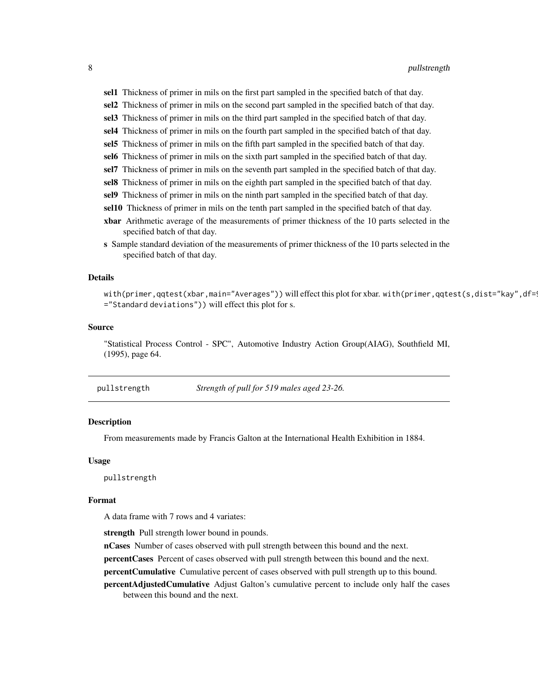<span id="page-7-0"></span>sel1 Thickness of primer in mils on the first part sampled in the specified batch of that day.

- sel2 Thickness of primer in mils on the second part sampled in the specified batch of that day.
- sel3 Thickness of primer in mils on the third part sampled in the specified batch of that day.
- sel4 Thickness of primer in mils on the fourth part sampled in the specified batch of that day.
- sel5 Thickness of primer in mils on the fifth part sampled in the specified batch of that day.
- sel6 Thickness of primer in mils on the sixth part sampled in the specified batch of that day.
- sel7 Thickness of primer in mils on the seventh part sampled in the specified batch of that day.
- sel8 Thickness of primer in mils on the eighth part sampled in the specified batch of that day.
- sel9 Thickness of primer in mils on the ninth part sampled in the specified batch of that day.
- sel10 Thickness of primer in mils on the tenth part sampled in the specified batch of that day.
- xbar Arithmetic average of the measurements of primer thickness of the 10 parts selected in the specified batch of that day.
- s Sample standard deviation of the measurements of primer thickness of the 10 parts selected in the specified batch of that day.

#### Details

with(primer,qqtest(xbar,main="Averages")) will effect this plot for xbar. with(primer,qqtest(s,dist="kay",df= ="Standard deviations")) will effect this plot for s.

#### Source

"Statistical Process Control - SPC", Automotive Industry Action Group(AIAG), Southfield MI, (1995), page 64.

pullstrength *Strength of pull for 519 males aged 23-26.*

#### Description

From measurements made by Francis Galton at the International Health Exhibition in 1884.

#### Usage

pullstrength

#### Format

A data frame with 7 rows and 4 variates:

strength Pull strength lower bound in pounds.

nCases Number of cases observed with pull strength between this bound and the next.

percentCases Percent of cases observed with pull strength between this bound and the next.

percentCumulative Cumulative percent of cases observed with pull strength up to this bound.

percentAdjustedCumulative Adjust Galton's cumulative percent to include only half the cases between this bound and the next.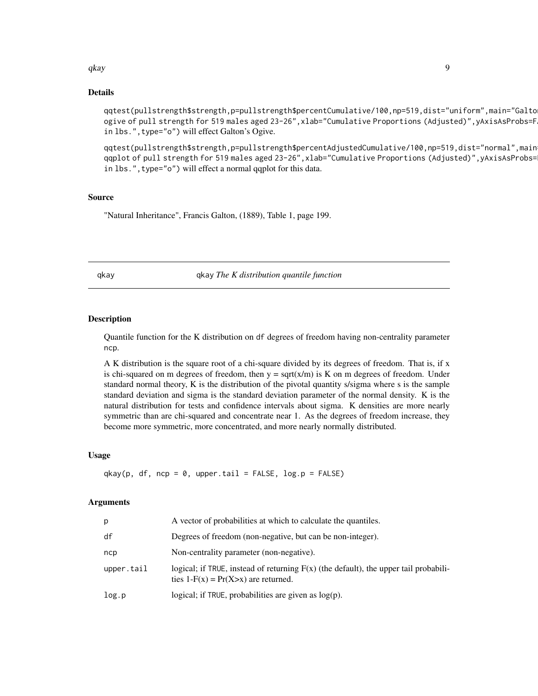#### <span id="page-8-0"></span> $q$ kay 9

#### Details

qqtest(pullstrength\$strength,p=pullstrength\$percentCumulative/100,np=519,dist="uniform",main="Galton's ogive of pull strength for 519 males aged 23-26", xlab="Cumulative Proportions (Adjusted)", yAxisAsProbs=F in lbs.", type="o") will effect Galton's Ogive.

qqtest(pullstrength\$strength,p=pullstrength\$percentAdjustedCumulative/100,np=519,dist="normal",main qqplot of pull strength for 519 males aged 23-26",xlab="Cumulative Proportions (Adjusted)",yAxisAsProbs= in lbs.", type="o") will effect a normal qqplot for this data.

#### Source

"Natural Inheritance", Francis Galton, (1889), Table 1, page 199.

qkay qkay *The K distribution quantile function*

#### Description

Quantile function for the K distribution on df degrees of freedom having non-centrality parameter ncp.

A K distribution is the square root of a chi-square divided by its degrees of freedom. That is, if x is chi-squared on m degrees of freedom, then  $y = \text{sqrt}(x/m)$  is K on m degrees of freedom. Under standard normal theory, K is the distribution of the pivotal quantity s/sigma where s is the sample standard deviation and sigma is the standard deviation parameter of the normal density. K is the natural distribution for tests and confidence intervals about sigma. K densities are more nearly symmetric than are chi-squared and concentrate near 1. As the degrees of freedom increase, they become more symmetric, more concentrated, and more nearly normally distributed.

#### Usage

 $q$ kay(p, df, ncp = 0, upper.tail = FALSE,  $log.p =$  FALSE)

#### Arguments

| р          | A vector of probabilities at which to calculate the quantiles.                                                                    |
|------------|-----------------------------------------------------------------------------------------------------------------------------------|
| df         | Degrees of freedom (non-negative, but can be non-integer).                                                                        |
| ncp        | Non-centrality parameter (non-negative).                                                                                          |
| upper.tail | logical; if TRUE, instead of returning $F(x)$ (the default), the upper tail probabili-<br>ties $1-F(x) = Pr(X > x)$ are returned. |
| log.p      | logical; if TRUE, probabilities are given as $log(p)$ .                                                                           |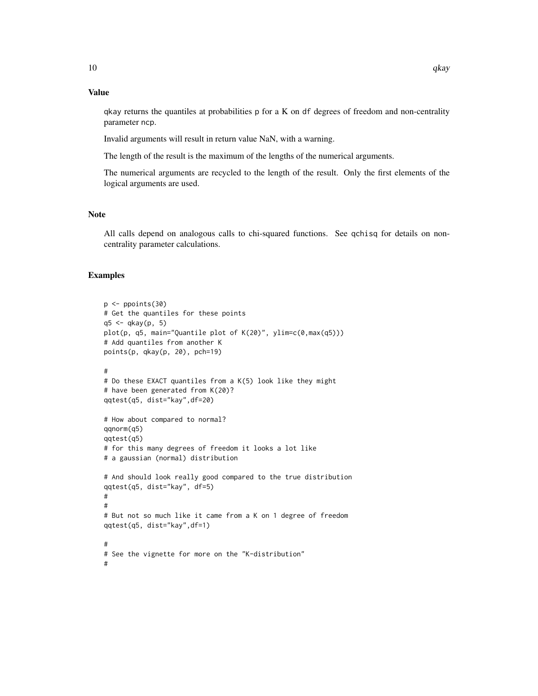#### Value

qkay returns the quantiles at probabilities p for a K on df degrees of freedom and non-centrality parameter ncp.

Invalid arguments will result in return value NaN, with a warning.

The length of the result is the maximum of the lengths of the numerical arguments.

The numerical arguments are recycled to the length of the result. Only the first elements of the logical arguments are used.

#### Note

All calls depend on analogous calls to chi-squared functions. See qchisq for details on noncentrality parameter calculations.

# Examples

```
p \leftarrow ppoints(30)
# Get the quantiles for these points
q5 \leq qkay(p, 5)plot(p, q5, main="Quantile plot of K(20)", ylim=c(0,max(q5)))
# Add quantiles from another K
points(p, qkay(p, 20), pch=19)
#
# Do these EXACT quantiles from a K(5) look like they might
# have been generated from K(20)?
qqtest(q5, dist="kay",df=20)
# How about compared to normal?
qqnorm(q5)
qqtest(q5)
# for this many degrees of freedom it looks a lot like
# a gaussian (normal) distribution
# And should look really good compared to the true distribution
qqtest(q5, dist="kay", df=5)
#
#
# But not so much like it came from a K on 1 degree of freedom
qqtest(q5, dist="kay",df=1)
#
# See the vignette for more on the "K-distribution"
#
```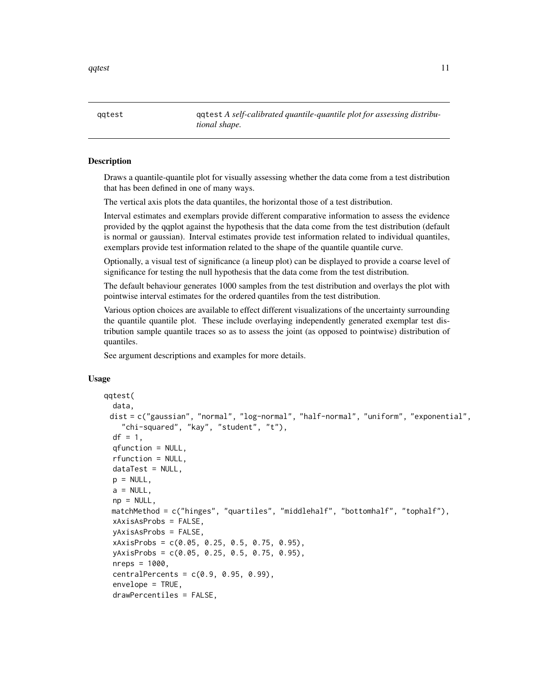<span id="page-10-0"></span>qqtest 11

qqtest qqtest *A self-calibrated quantile-quantile plot for assessing distributional shape.*

#### Description

Draws a quantile-quantile plot for visually assessing whether the data come from a test distribution that has been defined in one of many ways.

The vertical axis plots the data quantiles, the horizontal those of a test distribution.

Interval estimates and exemplars provide different comparative information to assess the evidence provided by the qqplot against the hypothesis that the data come from the test distribution (default is normal or gaussian). Interval estimates provide test information related to individual quantiles, exemplars provide test information related to the shape of the quantile quantile curve.

Optionally, a visual test of significance (a lineup plot) can be displayed to provide a coarse level of significance for testing the null hypothesis that the data come from the test distribution.

The default behaviour generates 1000 samples from the test distribution and overlays the plot with pointwise interval estimates for the ordered quantiles from the test distribution.

Various option choices are available to effect different visualizations of the uncertainty surrounding the quantile quantile plot. These include overlaying independently generated exemplar test distribution sample quantile traces so as to assess the joint (as opposed to pointwise) distribution of quantiles.

See argument descriptions and examples for more details.

#### Usage

```
qqtest(
  data,
 dist = c("gaussian", "normal", "log-normal", "half-normal", "uniform", "exponential",
    "chi-squared", "kay", "student", "t"),
  df = 1,
  qfunction = NULL,
  rfunction = NULL,
  dataTest = NULL,
 p = NULL,a = NULL,np = NULL,matchMethod = c("hinges", "quartiles", "middlehalf", "bottomhalf", "tophalf"),
  xAxisAsProbs = FALSE,
 yAxisAsProbs = FALSE,
  xAxisProbs = c(0.05, 0.25, 0.5, 0.75, 0.95),
  yAxisProbs = c(0.05, 0.25, 0.5, 0.75, 0.95),
  nreps = 1000,
  centralPercents = c(0.9, 0.95, 0.99),
  envelope = TRUE,
  drawPercentiles = FALSE,
```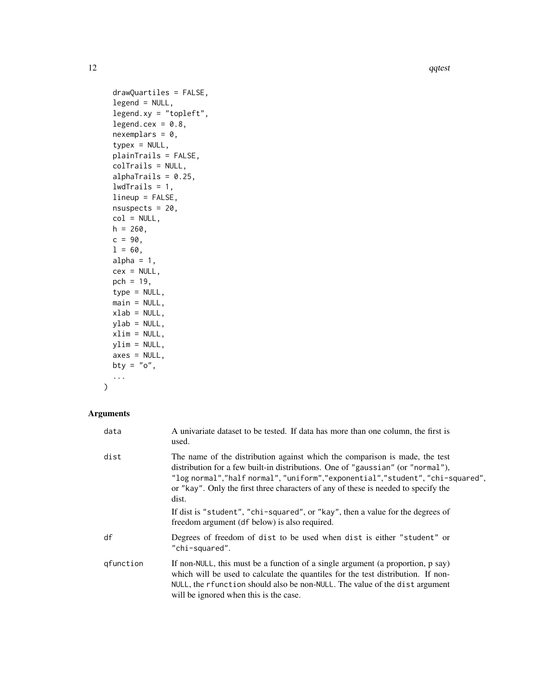```
drawQuartiles = FALSE,
  legend = NULL,
  legent.xy = "topleft",legend.cex = 0.8,
  nexemplars = 0,
  typex = NULL,
  plainTrails = FALSE,
  colTrails = NULL,
  alphaTrails = 0.25,
  lwdTraise = 1,lineup = FALSE,
  nsuspects = 20,
 col = NULL,h = 260,
 c = 90,1 = 60,alpha = 1,
  cex = NULL,pch = 19,
  type = NULL,
 main = NULL,
 xlab = NULL,
 ylab = NULL,
 xlim = NULL,
 ylim = NULL,
 axes = NULL,bty = "o",...
\mathcal{L}
```
# Arguments

| data      | A univariate dataset to be tested. If data has more than one column, the first is<br>used.                                                                                                                                                                                                                                                   |
|-----------|----------------------------------------------------------------------------------------------------------------------------------------------------------------------------------------------------------------------------------------------------------------------------------------------------------------------------------------------|
| dist      | The name of the distribution against which the comparison is made, the test<br>distribution for a few built-in distributions. One of "gaussian" (or "normal"),<br>"log normal","half normal","uniform","exponential","student","chi-squared",<br>or "kay". Only the first three characters of any of these is needed to specify the<br>dist. |
|           | If dist is "student", "chi-squared", or "kay", then a value for the degrees of<br>freedom argument (df below) is also required.                                                                                                                                                                                                              |
| df        | Degrees of freedom of dist to be used when dist is either "student" or<br>"chi-squared".                                                                                                                                                                                                                                                     |
| gfunction | If non-NULL, this must be a function of a single argument (a proportion, p say)<br>which will be used to calculate the quantiles for the test distribution. If non-<br>NULL, the rfunction should also be non-NULL. The value of the dist argument<br>will be ignored when this is the case.                                                 |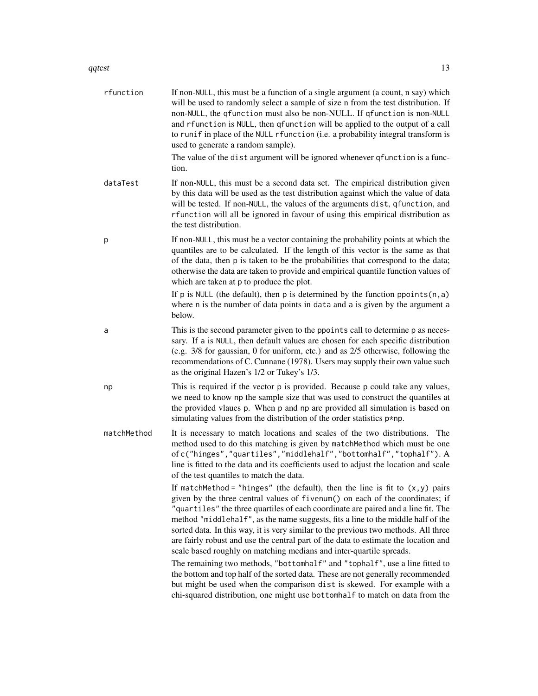#### qqtest  $\sim$  13

| rfunction   | If non-NULL, this must be a function of a single argument (a count, n say) which<br>will be used to randomly select a sample of size n from the test distribution. If<br>non-NULL, the qfunction must also be non-NULL. If qfunction is non-NULL<br>and rfunction is NULL, then qfunction will be applied to the output of a call<br>to runif in place of the NULL rfunction (i.e. a probability integral transform is<br>used to generate a random sample).<br>The value of the dist argument will be ignored whenever qfunction is a func-<br>tion.                                          |
|-------------|------------------------------------------------------------------------------------------------------------------------------------------------------------------------------------------------------------------------------------------------------------------------------------------------------------------------------------------------------------------------------------------------------------------------------------------------------------------------------------------------------------------------------------------------------------------------------------------------|
| dataTest    | If non-NULL, this must be a second data set. The empirical distribution given<br>by this data will be used as the test distribution against which the value of data<br>will be tested. If non-NULL, the values of the arguments dist, qfunction, and<br>rfunction will all be ignored in favour of using this empirical distribution as<br>the test distribution.                                                                                                                                                                                                                              |
| p           | If non-NULL, this must be a vector containing the probability points at which the<br>quantiles are to be calculated. If the length of this vector is the same as that<br>of the data, then p is taken to be the probabilities that correspond to the data;<br>otherwise the data are taken to provide and empirical quantile function values of<br>which are taken at p to produce the plot.                                                                                                                                                                                                   |
|             | If p is NULL (the default), then p is determined by the function ppoints $(n, a)$<br>where n is the number of data points in data and a is given by the argument a<br>below.                                                                                                                                                                                                                                                                                                                                                                                                                   |
| a           | This is the second parameter given to the ppoints call to determine p as neces-<br>sary. If a is NULL, then default values are chosen for each specific distribution<br>(e.g. 3/8 for gaussian, 0 for uniform, etc.) and as 2/5 otherwise, following the<br>recommendations of C. Cunnane (1978). Users may supply their own value such<br>as the original Hazen's 1/2 or Tukey's 1/3.                                                                                                                                                                                                         |
| np          | This is required if the vector p is provided. Because p could take any values,<br>we need to know np the sample size that was used to construct the quantiles at<br>the provided vlaues p. When p and np are provided all simulation is based on<br>simulating values from the distribution of the order statistics $p * np$ .                                                                                                                                                                                                                                                                 |
| matchMethod | It is necessary to match locations and scales of the two distributions. The<br>method used to do this matching is given by matchMethod which must be one<br>ofc("hinges","quartiles","middlehalf","bottomhalf","tophalf"). A<br>line is fitted to the data and its coefficients used to adjust the location and scale<br>of the test quantiles to match the data.                                                                                                                                                                                                                              |
|             | If matchMethod = "hinges" (the default), then the line is fit to $(x, y)$ pairs<br>given by the three central values of fivenum() on each of the coordinates; if<br>"quartiles" the three quartiles of each coordinate are paired and a line fit. The<br>method "middlehalf", as the name suggests, fits a line to the middle half of the<br>sorted data. In this way, it is very similar to the previous two methods. All three<br>are fairly robust and use the central part of the data to estimate the location and<br>scale based roughly on matching medians and inter-quartile spreads. |
|             | The remaining two methods, "bottomhalf" and "tophalf", use a line fitted to<br>the bottom and top half of the sorted data. These are not generally recommended<br>but might be used when the comparison dist is skewed. For example with a<br>chi-squared distribution, one might use bottomhalf to match on data from the                                                                                                                                                                                                                                                                     |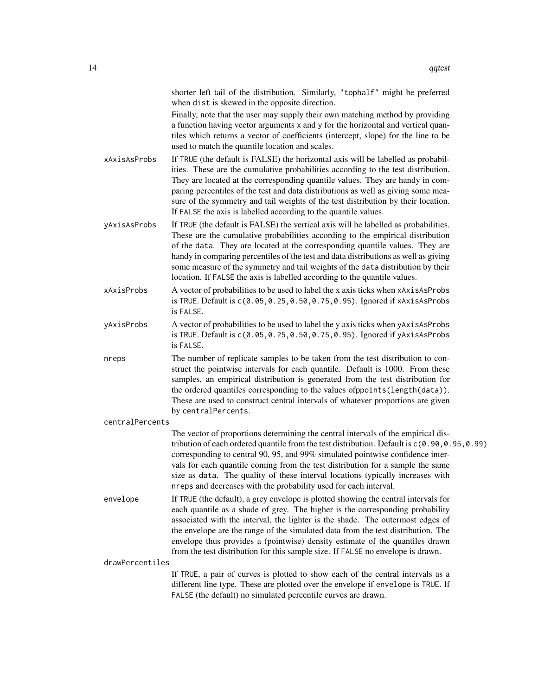|                 | shorter left tail of the distribution. Similarly, "tophalf" might be preferred<br>when dist is skewed in the opposite direction.                                                                                                                                                                                                                                                                                                                                                                              |
|-----------------|---------------------------------------------------------------------------------------------------------------------------------------------------------------------------------------------------------------------------------------------------------------------------------------------------------------------------------------------------------------------------------------------------------------------------------------------------------------------------------------------------------------|
|                 | Finally, note that the user may supply their own matching method by providing<br>a function having vector arguments x and y for the horizontal and vertical quan-<br>tiles which returns a vector of coefficients (intercept, slope) for the line to be<br>used to match the quantile location and scales.                                                                                                                                                                                                    |
| xAxisAsProbs    | If TRUE (the default is FALSE) the horizontal axis will be labelled as probabil-<br>ities. These are the cumulative probabilities according to the test distribution.<br>They are located at the corresponding quantile values. They are handy in com-<br>paring percentiles of the test and data distributions as well as giving some mea-<br>sure of the symmetry and tail weights of the test distribution by their location.<br>If FALSE the axis is labelled according to the quantile values.           |
| yAxisAsProbs    | If TRUE (the default is FALSE) the vertical axis will be labelled as probabilities.<br>These are the cumulative probabilities according to the empirical distribution<br>of the data. They are located at the corresponding quantile values. They are<br>handy in comparing percentiles of the test and data distributions as well as giving<br>some measure of the symmetry and tail weights of the data distribution by their<br>location. If FALSE the axis is labelled according to the quantile values.  |
| xAxisProbs      | A vector of probabilities to be used to label the x axis ticks when xAxisAsProbs<br>is TRUE. Default is $c(0.05, 0.25, 0.50, 0.75, 0.95)$ . Ignored if xAxisAsProbs<br>is FALSE.                                                                                                                                                                                                                                                                                                                              |
| yAxisProbs      | A vector of probabilities to be used to label the y axis ticks when yAxisAsProbs<br>is TRUE. Default is c(0.05, 0.25, 0.50, 0.75, 0.95). Ignored if yAxisAsProbs<br>is FALSE.                                                                                                                                                                                                                                                                                                                                 |
| nreps           | The number of replicate samples to be taken from the test distribution to con-<br>struct the pointwise intervals for each quantile. Default is 1000. From these<br>samples, an empirical distribution is generated from the test distribution for<br>the ordered quantiles corresponding to the values ofppoints(length(data)).<br>These are used to construct central intervals of whatever proportions are given<br>by centralPercents.                                                                     |
| centralPercents |                                                                                                                                                                                                                                                                                                                                                                                                                                                                                                               |
|                 | The vector of proportions determining the central intervals of the empirical dis-<br>tribution of each ordered quantile from the test distribution. Default is c(0.90,0.95,0.99)<br>corresponding to central 90, 95, and 99% simulated pointwise confidence inter-<br>vals for each quantile coming from the test distribution for a sample the same<br>size as data. The quality of these interval locations typically increases with<br>nreps and decreases with the probability used for each interval.    |
| envelope        | If TRUE (the default), a grey envelope is plotted showing the central intervals for<br>each quantile as a shade of grey. The higher is the corresponding probability<br>associated with the interval, the lighter is the shade. The outermost edges of<br>the envelope are the range of the simulated data from the test distribution. The<br>envelope thus provides a (pointwise) density estimate of the quantiles drawn<br>from the test distribution for this sample size. If FALSE no envelope is drawn. |
| drawPercentiles |                                                                                                                                                                                                                                                                                                                                                                                                                                                                                                               |
|                 | If TRUE, a pair of curves is plotted to show each of the central intervals as a<br>different line type. These are plotted over the envelope if envelope is TRUE. If<br>FALSE (the default) no simulated percentile curves are drawn.                                                                                                                                                                                                                                                                          |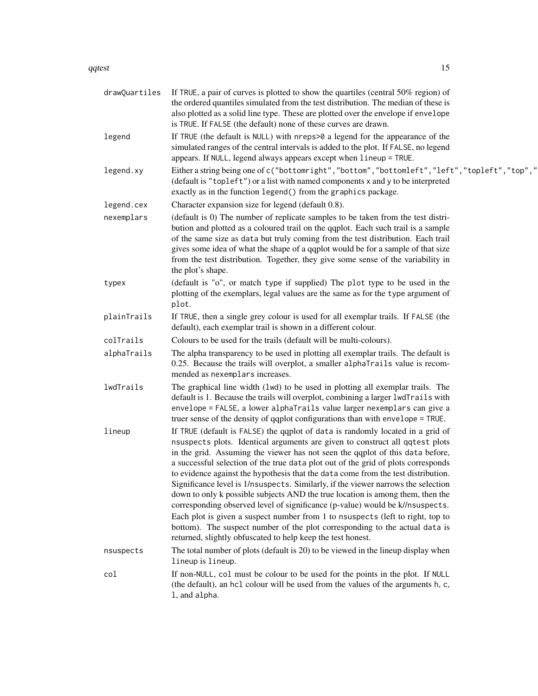#### qqtest 15

| drawQuartiles | If TRUE, a pair of curves is plotted to show the quartiles (central 50% region) of<br>the ordered quantiles simulated from the test distribution. The median of these is<br>also plotted as a solid line type. These are plotted over the envelope if envelope<br>is TRUE. If FALSE (the default) none of these curves are drawn.                                                                                                                                                                                                                                                                                                                                                                                                                                                                                                                                                                                 |
|---------------|-------------------------------------------------------------------------------------------------------------------------------------------------------------------------------------------------------------------------------------------------------------------------------------------------------------------------------------------------------------------------------------------------------------------------------------------------------------------------------------------------------------------------------------------------------------------------------------------------------------------------------------------------------------------------------------------------------------------------------------------------------------------------------------------------------------------------------------------------------------------------------------------------------------------|
| legend        | If TRUE (the default is NULL) with nreps>0 a legend for the appearance of the<br>simulated ranges of the central intervals is added to the plot. If FALSE, no legend<br>appears. If NULL, legend always appears except when lineup = TRUE.                                                                                                                                                                                                                                                                                                                                                                                                                                                                                                                                                                                                                                                                        |
| legend.xy     | Either a string being one of c("bottomright","bottom","bottomleft","left","topleft","top","<br>(default is "topleft") or a list with named components x and y to be interpreted<br>exactly as in the function legend() from the graphics package.                                                                                                                                                                                                                                                                                                                                                                                                                                                                                                                                                                                                                                                                 |
| legend.cex    | Character expansion size for legend (default 0.8).                                                                                                                                                                                                                                                                                                                                                                                                                                                                                                                                                                                                                                                                                                                                                                                                                                                                |
| nexemplars    | (default is 0) The number of replicate samples to be taken from the test distri-<br>bution and plotted as a coloured trail on the qqplot. Each such trail is a sample<br>of the same size as data but truly coming from the test distribution. Each trail<br>gives some idea of what the shape of a qqplot would be for a sample of that size<br>from the test distribution. Together, they give some sense of the variability in<br>the plot's shape.                                                                                                                                                                                                                                                                                                                                                                                                                                                            |
| typex         | (default is "o", or match type if supplied) The plot type to be used in the<br>plotting of the exemplars, legal values are the same as for the type argument of<br>plot.                                                                                                                                                                                                                                                                                                                                                                                                                                                                                                                                                                                                                                                                                                                                          |
| plainTrails   | If TRUE, then a single grey colour is used for all exemplar trails. If FALSE (the<br>default), each exemplar trail is shown in a different colour.                                                                                                                                                                                                                                                                                                                                                                                                                                                                                                                                                                                                                                                                                                                                                                |
| colTrails     | Colours to be used for the trails (default will be multi-colours).                                                                                                                                                                                                                                                                                                                                                                                                                                                                                                                                                                                                                                                                                                                                                                                                                                                |
| alphaTrails   | The alpha transparency to be used in plotting all exemplar trails. The default is<br>0.25. Because the trails will overplot, a smaller alphaTrails value is recom-<br>mended as nexemplars increases.                                                                                                                                                                                                                                                                                                                                                                                                                                                                                                                                                                                                                                                                                                             |
| lwdTrails     | The graphical line width (1wd) to be used in plotting all exemplar trails. The<br>default is 1. Because the trails will overplot, combining a larger 1wdTrails with<br>envelope = FALSE, a lower alphaTrails value larger nexemplars can give a<br>truer sense of the density of qqplot configurations than with envelope = TRUE.                                                                                                                                                                                                                                                                                                                                                                                                                                                                                                                                                                                 |
| lineup        | If TRUE (default is FALSE) the qqplot of data is randomly located in a grid of<br>nsuspects plots. Identical arguments are given to construct all qqtest plots<br>in the grid. Assuming the viewer has not seen the qqplot of this data before,<br>a successful selection of the true data plot out of the grid of plots corresponds<br>to evidence against the hypothesis that the data come from the test distribution.<br>Significance level is 1/nsuspects. Similarly, if the viewer narrows the selection<br>down to only k possible subjects AND the true location is among them, then the<br>corresponding observed level of significance (p-value) would be k//nsuspects.<br>Each plot is given a suspect number from 1 to nsuspects (left to right, top to<br>bottom). The suspect number of the plot corresponding to the actual data is<br>returned, slightly obfuscated to help keep the test honest. |
| nsuspects     | The total number of plots (default is 20) to be viewed in the lineup display when<br>lineup is lineup.                                                                                                                                                                                                                                                                                                                                                                                                                                                                                                                                                                                                                                                                                                                                                                                                            |
| col           | If non-NULL, col must be colour to be used for the points in the plot. If NULL<br>(the default), an hcl colour will be used from the values of the arguments h, c,<br>1, and alpha.                                                                                                                                                                                                                                                                                                                                                                                                                                                                                                                                                                                                                                                                                                                               |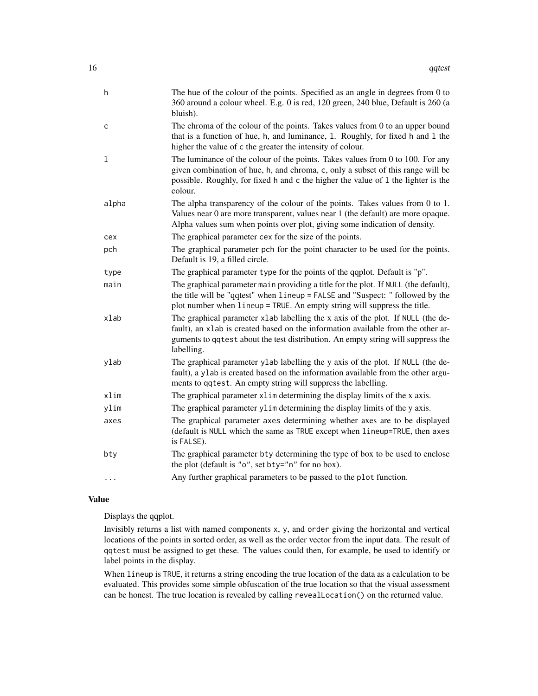| h     | The hue of the colour of the points. Specified as an angle in degrees from 0 to<br>360 around a colour wheel. E.g. 0 is red, 120 green, 240 blue, Default is 260 (a<br>bluish).                                                                                        |
|-------|------------------------------------------------------------------------------------------------------------------------------------------------------------------------------------------------------------------------------------------------------------------------|
| с     | The chroma of the colour of the points. Takes values from 0 to an upper bound<br>that is a function of hue, h, and luminance, 1. Roughly, for fixed h and 1 the<br>higher the value of c the greater the intensity of colour.                                          |
| 1     | The luminance of the colour of the points. Takes values from $0$ to $100$ . For any<br>given combination of hue, h, and chroma, c, only a subset of this range will be<br>possible. Roughly, for fixed h and c the higher the value of 1 the lighter is the<br>colour. |
| alpha | The alpha transparency of the colour of the points. Takes values from 0 to 1.<br>Values near 0 are more transparent, values near 1 (the default) are more opaque.<br>Alpha values sum when points over plot, giving some indication of density.                        |
| cex   | The graphical parameter cex for the size of the points.                                                                                                                                                                                                                |
| pch   | The graphical parameter pch for the point character to be used for the points.<br>Default is 19, a filled circle.                                                                                                                                                      |
| type  | The graphical parameter type for the points of the qqplot. Default is "p".                                                                                                                                                                                             |
| main  | The graphical parameter main providing a title for the plot. If NULL (the default),<br>the title will be "qqtest" when lineup = FALSE and "Suspect: " followed by the<br>plot number when lineup = TRUE. An empty string will suppress the title.                      |
| xlab  | The graphical parameter xlab labelling the x axis of the plot. If NULL (the de-<br>fault), an xlab is created based on the information available from the other ar-<br>guments to qqtest about the test distribution. An empty string will suppress the<br>labelling.  |
| ylab  | The graphical parameter ylab labelling the y axis of the plot. If NULL (the de-<br>fault), a ylab is created based on the information available from the other argu-<br>ments to qqtest. An empty string will suppress the labelling.                                  |
| xlim  | The graphical parameter x1im determining the display limits of the x axis.                                                                                                                                                                                             |
| ylim  | The graphical parameter ylim determining the display limits of the y axis.                                                                                                                                                                                             |
| axes  | The graphical parameter axes determining whether axes are to be displayed<br>(default is NULL which the same as TRUE except when lineup=TRUE, then axes<br>is FALSE).                                                                                                  |
| bty   | The graphical parameter bty determining the type of box to be used to enclose<br>the plot (default is "o", set bty="n" for no box).                                                                                                                                    |
| .     | Any further graphical parameters to be passed to the plot function.                                                                                                                                                                                                    |

#### Value

Displays the qqplot.

Invisibly returns a list with named components x, y, and order giving the horizontal and vertical locations of the points in sorted order, as well as the order vector from the input data. The result of qqtest must be assigned to get these. The values could then, for example, be used to identify or label points in the display.

When lineup is TRUE, it returns a string encoding the true location of the data as a calculation to be evaluated. This provides some simple obfuscation of the true location so that the visual assessment can be honest. The true location is revealed by calling revealLocation() on the returned value.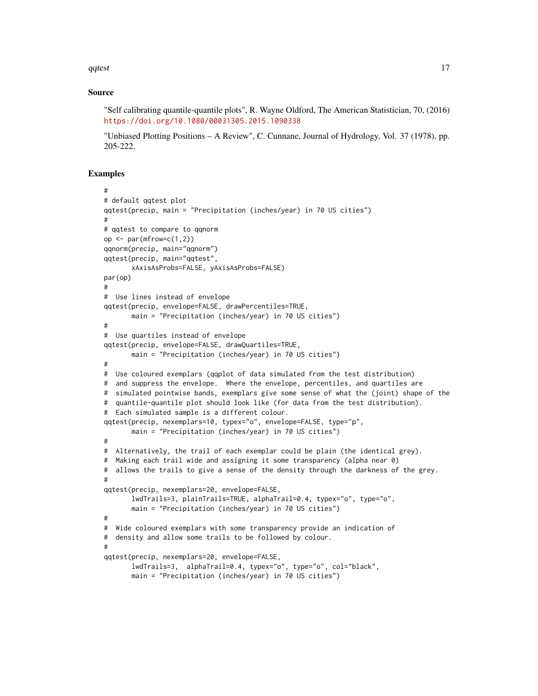qqtest 17

#### Source

"Self calibrating quantile-quantile plots", R. Wayne Oldford, The American Statistician, 70, (2016) <https://doi.org/10.1080/00031305.2015.1090338>

"Unbiased Plotting Positions – A Review", C. Cunnane, Journal of Hydrology, Vol. 37 (1978), pp. 205-222.

#### Examples

```
#
# default qqtest plot
qqtest(precip, main = "Precipitation (inches/year) in 70 US cities")
#
# qqtest to compare to qqnorm
op \leq par(mfrow=c(1,2))
qqnorm(precip, main="qqnorm")
qqtest(precip, main="qqtest",
      xAxisAsProbs=FALSE, yAxisAsProbs=FALSE)
par(op)
#
# Use lines instead of envelope
qqtest(precip, envelope=FALSE, drawPercentiles=TRUE,
      main = "Precipitation (inches/year) in 70 US cities")
#
# Use quartiles instead of envelope
qqtest(precip, envelope=FALSE, drawQuartiles=TRUE,
      main = "Precipitation (inches/year) in 70 US cities")
#
# Use coloured exemplars (qqplot of data simulated from the test distribution)
# and suppress the envelope. Where the envelope, percentiles, and quartiles are
# simulated pointwise bands, exemplars give some sense of what the (joint) shape of the
# quantile-quantile plot should look like (for data from the test distribution).
# Each simulated sample is a different colour.
qqtest(precip, nexemplars=10, typex="o", envelope=FALSE, type="p",
      main = "Precipitation (inches/year) in 70 US cities")
#
# Alternatively, the trail of each exemplar could be plain (the identical grey).
# Making each trail wide and assigning it some transparency (alpha near 0)
# allows the trails to give a sense of the density through the darkness of the grey.
#
qqtest(precip, nexemplars=20, envelope=FALSE,
      lwdTrails=3, plainTrails=TRUE, alphaTrail=0.4, typex="o", type="o",
      main = "Precipitation (inches/year) in 70 US cities")
#
# Wide coloured exemplars with some transparency provide an indication of
# density and allow some trails to be followed by colour.
#
qqtest(precip, nexemplars=20, envelope=FALSE,
      lwdTrails=3, alphaTrail=0.4, typex="o", type="o", col="black",
      main = "Precipitation (inches/year) in 70 US cities")
```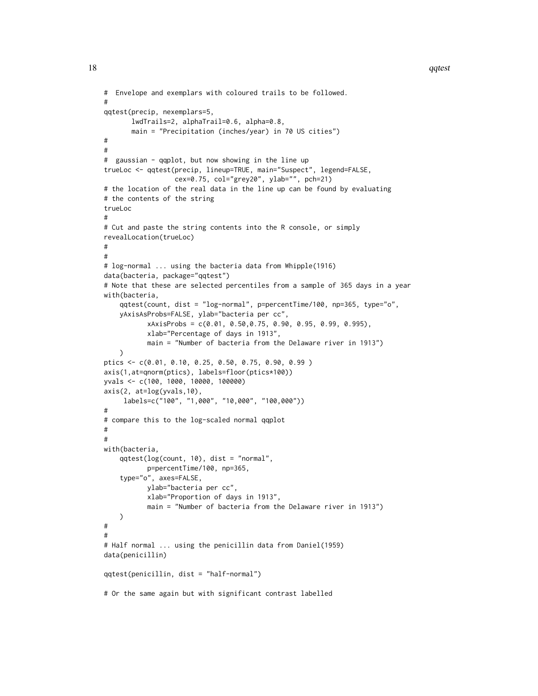```
# Envelope and exemplars with coloured trails to be followed.
#
qqtest(precip, nexemplars=5,
       lwdTrails=2, alphaTrail=0.6, alpha=0.8,
       main = "Precipitation (inches/year) in 70 US cities")
#
#
# gaussian - qqplot, but now showing in the line up
trueLoc <- qqtest(precip, lineup=TRUE, main="Suspect", legend=FALSE,
                  cex=0.75, col="grey20", ylab="", pch=21)
# the location of the real data in the line up can be found by evaluating
# the contents of the string
trueLoc
#
# Cut and paste the string contents into the R console, or simply
revealLocation(trueLoc)
#
#
# log-normal ... using the bacteria data from Whipple(1916)
data(bacteria, package="qqtest")
# Note that these are selected percentiles from a sample of 365 days in a year
with(bacteria,
   qqtest(count, dist = "log-normal", p=percentTime/100, np=365, type="o",
   yAxisAsProbs=FALSE, ylab="bacteria per cc",
           xAxisProbs = c(0.01, 0.50,0.75, 0.90, 0.95, 0.99, 0.995),
           xlab="Percentage of days in 1913",
           main = "Number of bacteria from the Delaware river in 1913")
    \lambdaptics <- c(0.01, 0.10, 0.25, 0.50, 0.75, 0.90, 0.99 )
axis(1,at=qnorm(ptics), labels=floor(ptics*100))
yvals <- c(100, 1000, 10000, 100000)
axis(2, at=log(yvals,10),
     labels=c("100", "1,000", "10,000", "100,000"))
#
# compare this to the log-scaled normal qqplot
#
#
with(bacteria,
   qqtest(log(count, 10), dist = "normal",
           p=percentTime/100, np=365,
    type="o", axes=FALSE,
           ylab="bacteria per cc",
           xlab="Proportion of days in 1913",
           main = "Number of bacteria from the Delaware river in 1913")
   \mathcal{L}#
#
# Half normal ... using the penicillin data from Daniel(1959)
data(penicillin)
qqtest(penicillin, dist = "half-normal")
# Or the same again but with significant contrast labelled
```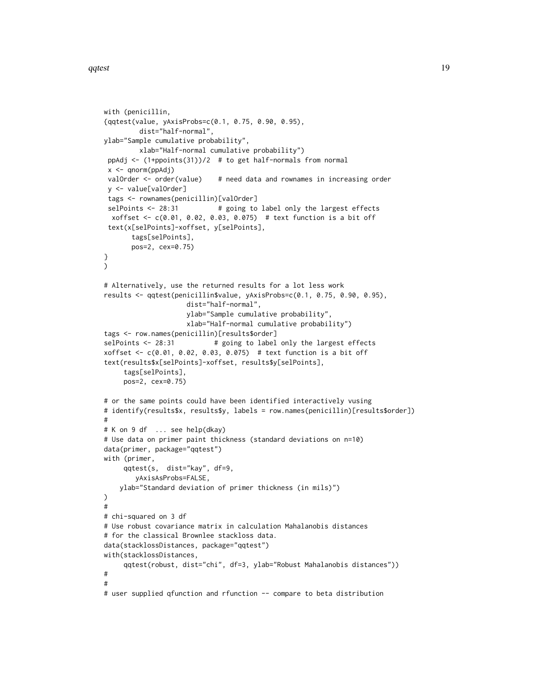```
with (penicillin,
{qqtest(value, yAxisProbs=c(0.1, 0.75, 0.90, 0.95),
         dist="half-normal",
ylab="Sample cumulative probability",
        xlab="Half-normal cumulative probability")
 ppAdj <- (1+ppoints(31))/2 # to get half-normals from normal
 x <- qnorm(ppAdj)
 valOrder <- order(value) # need data and rownames in increasing order
 y <- value[valOrder]
 tags <- rownames(penicillin)[valOrder]
 selPoints <- 28:31 # going to label only the largest effects
 xoffset <- c(0.01, 0.02, 0.03, 0.075) # text function is a bit off
 text(x[selPoints]-xoffset, y[selPoints],
       tags[selPoints],
       pos=2, cex=0.75)
}
\mathcal{L}# Alternatively, use the returned results for a lot less work
results <- qqtest(penicillin$value, yAxisProbs=c(0.1, 0.75, 0.90, 0.95),
                     dist="half-normal",
                     ylab="Sample cumulative probability",
                     xlab="Half-normal cumulative probability")
tags <- row.names(penicillin)[results$order]
selPoints <- 28:31 # going to label only the largest effects
xoffset <- c(0.01, 0.02, 0.03, 0.075) # text function is a bit off
text(results$x[selPoints]-xoffset, results$y[selPoints],
     tags[selPoints],
     pos=2, cex=0.75)
# or the same points could have been identified interactively vusing
# identify(results$x, results$y, labels = row.names(penicillin)[results$order])
#
# K on 9 df ... see help(dkay)
# Use data on primer paint thickness (standard deviations on n=10)
data(primer, package="qqtest")
with (primer,
     qqtest(s, dist="kay", df=9,
        yAxisAsProbs=FALSE,
    ylab="Standard deviation of primer thickness (in mils)")
)
#
# chi-squared on 3 df
# Use robust covariance matrix in calculation Mahalanobis distances
# for the classical Brownlee stackloss data.
data(stacklossDistances, package="qqtest")
with(stacklossDistances,
     qqtest(robust, dist="chi", df=3, ylab="Robust Mahalanobis distances"))
#
#
# user supplied qfunction and rfunction -- compare to beta distribution
```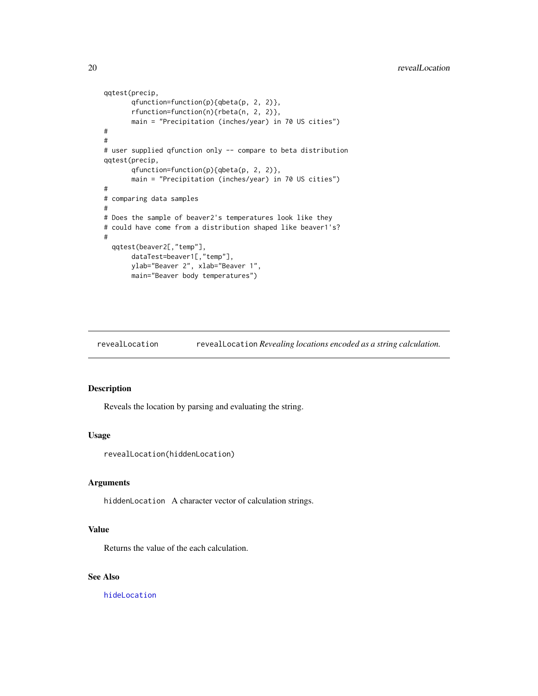```
qqtest(precip,
      qfunction=function(p){qbeta(p, 2, 2)},
      rfunction=function(n){rbeta(n, 2, 2)},
      main = "Precipitation (inches/year) in 70 US cities")
#
#
# user supplied qfunction only -- compare to beta distribution
qqtest(precip,
      qfunction=function(p){qbeta(p, 2, 2)},
      main = "Precipitation (inches/year) in 70 US cities")
#
# comparing data samples
#
# Does the sample of beaver2's temperatures look like they
# could have come from a distribution shaped like beaver1's?
#
 qqtest(beaver2[,"temp"],
      dataTest=beaver1[,"temp"],
      ylab="Beaver 2", xlab="Beaver 1",
      main="Beaver body temperatures")
```
<span id="page-19-1"></span>revealLocation revealLocation *Revealing locations encoded as a string calculation.*

#### Description

Reveals the location by parsing and evaluating the string.

#### Usage

```
revealLocation(hiddenLocation)
```
#### Arguments

hiddenLocation A character vector of calculation strings.

# Value

Returns the value of the each calculation.

# See Also

[hideLocation](#page-3-1)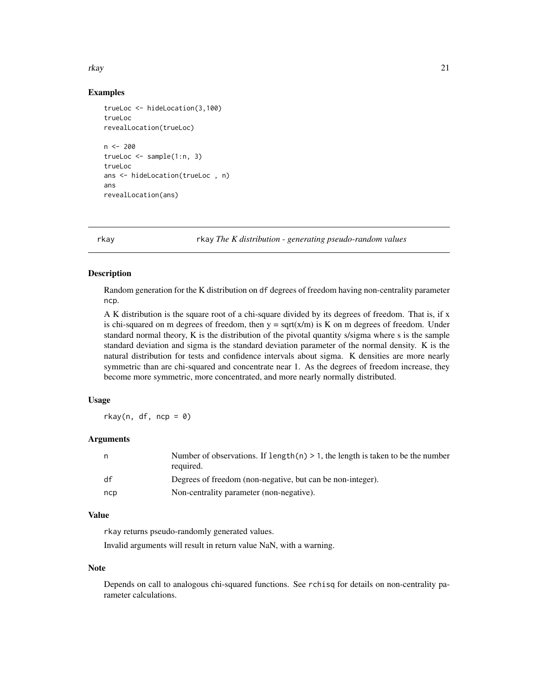#### <span id="page-20-0"></span>rkay 21

# Examples

```
trueLoc <- hideLocation(3,100)
trueLoc
revealLocation(trueLoc)
n < - 200trueLoc \leq sample(1:n, 3)trueLoc
ans <- hideLocation(trueLoc , n)
ans
revealLocation(ans)
```
rkay rkay *The K distribution - generating pseudo-random values*

# Description

Random generation for the K distribution on df degrees of freedom having non-centrality parameter ncp.

A K distribution is the square root of a chi-square divided by its degrees of freedom. That is, if x is chi-squared on m degrees of freedom, then  $y = \text{sqrt}(x/m)$  is K on m degrees of freedom. Under standard normal theory, K is the distribution of the pivotal quantity s/sigma where s is the sample standard deviation and sigma is the standard deviation parameter of the normal density. K is the natural distribution for tests and confidence intervals about sigma. K densities are more nearly symmetric than are chi-squared and concentrate near 1. As the degrees of freedom increase, they become more symmetric, more concentrated, and more nearly normally distributed.

#### Usage

 $rkay(n, df, ncp = 0)$ 

# Arguments

| n   | Number of observations. If length(n) $> 1$ , the length is taken to be the number<br>required. |
|-----|------------------------------------------------------------------------------------------------|
| df  | Degrees of freedom (non-negative, but can be non-integer).                                     |
| ncp | Non-centrality parameter (non-negative).                                                       |

#### Value

rkay returns pseudo-randomly generated values.

Invalid arguments will result in return value NaN, with a warning.

#### Note

Depends on call to analogous chi-squared functions. See rchisq for details on non-centrality parameter calculations.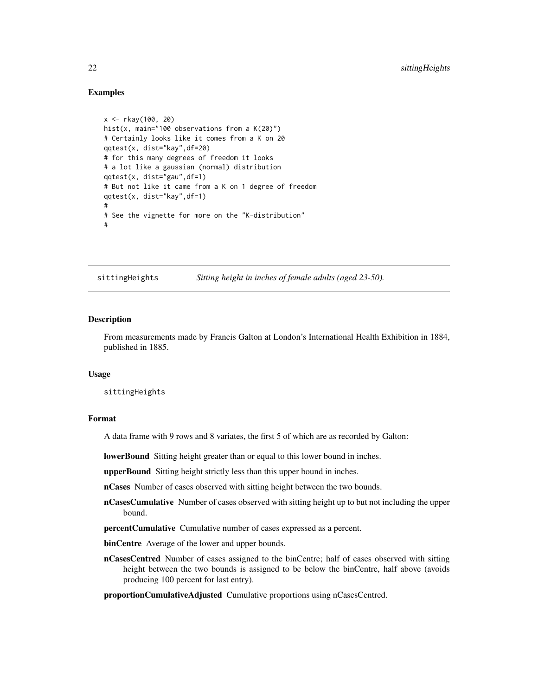#### <span id="page-21-0"></span>Examples

```
x <- rkay(100, 20)
hist(x, main="100 observations from a K(20)")
# Certainly looks like it comes from a K on 20
qqtest(x, dist="kay",df=20)
# for this many degrees of freedom it looks
# a lot like a gaussian (normal) distribution
qqtest(x, dist="gau",df=1)
# But not like it came from a K on 1 degree of freedom
qqtest(x, dist="kay",df=1)
#
# See the vignette for more on the "K-distribution"
#
```
sittingHeights *Sitting height in inches of female adults (aged 23-50).*

#### Description

From measurements made by Francis Galton at London's International Health Exhibition in 1884, published in 1885.

#### Usage

sittingHeights

#### Format

A data frame with 9 rows and 8 variates, the first 5 of which are as recorded by Galton:

lowerBound Sitting height greater than or equal to this lower bound in inches.

upperBound Sitting height strictly less than this upper bound in inches.

nCases Number of cases observed with sitting height between the two bounds.

nCasesCumulative Number of cases observed with sitting height up to but not including the upper bound.

percentCumulative Cumulative number of cases expressed as a percent.

binCentre Average of the lower and upper bounds.

nCasesCentred Number of cases assigned to the binCentre; half of cases observed with sitting height between the two bounds is assigned to be below the binCentre, half above (avoids producing 100 percent for last entry).

proportionCumulativeAdjusted Cumulative proportions using nCasesCentred.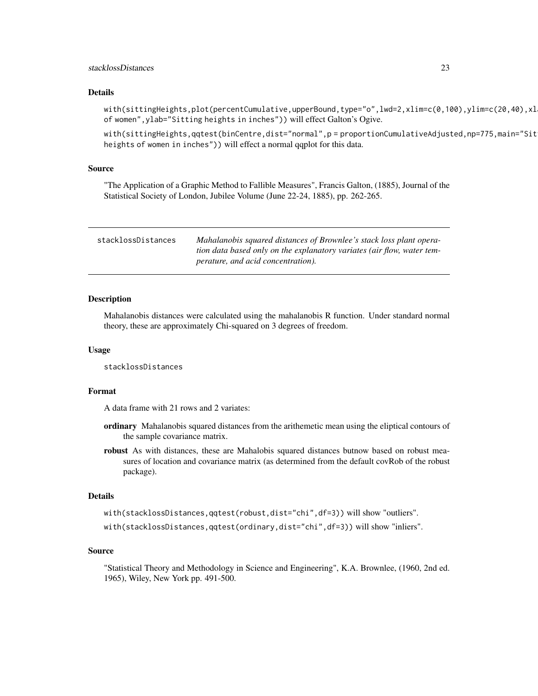#### <span id="page-22-0"></span>stacklossDistances 23

#### Details

with(sittingHeights,plot(percentCumulative,upperBound,type="o",lwd=2,xlim=c(0,100),ylim=c(20,40),xl of women",ylab="Sitting heights in inches")) will effect Galton's Ogive.

with(sittingHeights,qqtest(binCentre,dist="normal",p = proportionCumulativeAdjusted,np=775,main="Sit heights of women in inches")) will effect a normal qqplot for this data.

#### Source

"The Application of a Graphic Method to Fallible Measures", Francis Galton, (1885), Journal of the Statistical Society of London, Jubilee Volume (June 22-24, 1885), pp. 262-265.

| stacklossDistances | Mahalanobis squared distances of Brownlee's stack loss plant opera-    |
|--------------------|------------------------------------------------------------------------|
|                    | tion data based only on the explanatory variates (air flow, water tem- |
|                    | <i>perature, and acid concentration).</i>                              |

#### Description

Mahalanobis distances were calculated using the mahalanobis R function. Under standard normal theory, these are approximately Chi-squared on 3 degrees of freedom.

#### Usage

```
stacklossDistances
```
#### Format

A data frame with 21 rows and 2 variates:

- ordinary Mahalanobis squared distances from the arithemetic mean using the eliptical contours of the sample covariance matrix.
- robust As with distances, these are Mahalobis squared distances butnow based on robust measures of location and covariance matrix (as determined from the default covRob of the robust package).

#### Details

with(stacklossDistances,qqtest(robust,dist="chi",df=3)) will show "outliers".

with(stacklossDistances,qqtest(ordinary,dist="chi",df=3)) will show "inliers".

#### Source

"Statistical Theory and Methodology in Science and Engineering", K.A. Brownlee, (1960, 2nd ed. 1965), Wiley, New York pp. 491-500.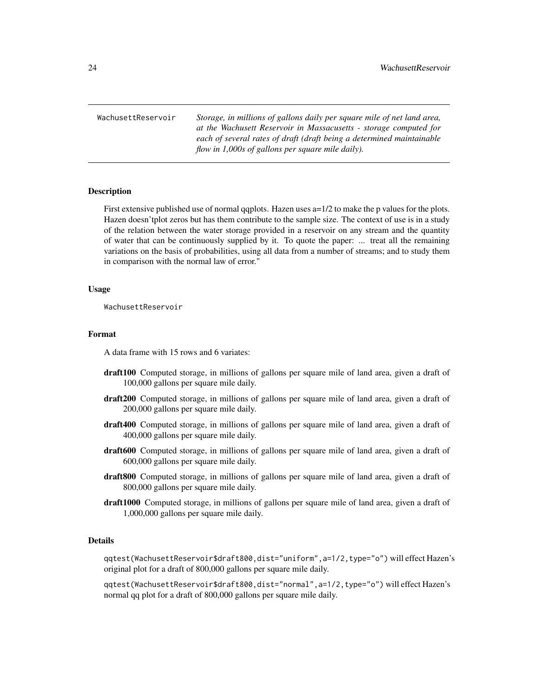<span id="page-23-0"></span>WachusettReservoir *Storage, in millions of gallons daily per square mile of net land area, at the Wachusett Reservoir in Massacusetts - storage computed for each of several rates of draft (draft being a determined maintainable flow in 1,000s of gallons per square mile daily).*

#### Description

First extensive published use of normal qqplots. Hazen uses  $a=1/2$  to make the p values for the plots. Hazen doesn'tplot zeros but has them contribute to the sample size. The context of use is in a study of the relation between the water storage provided in a reservoir on any stream and the quantity of water that can be continuously supplied by it. To quote the paper: ... treat all the remaining variations on the basis of probabilities, using all data from a number of streams; and to study them in comparison with the normal law of error."

#### Usage

WachusettReservoir

# Format

A data frame with 15 rows and 6 variates:

- draft100 Computed storage, in millions of gallons per square mile of land area, given a draft of 100,000 gallons per square mile daily.
- draft200 Computed storage, in millions of gallons per square mile of land area, given a draft of 200,000 gallons per square mile daily.
- draft400 Computed storage, in millions of gallons per square mile of land area, given a draft of 400,000 gallons per square mile daily.
- draft600 Computed storage, in millions of gallons per square mile of land area, given a draft of 600,000 gallons per square mile daily.
- draft800 Computed storage, in millions of gallons per square mile of land area, given a draft of 800,000 gallons per square mile daily.
- draft1000 Computed storage, in millions of gallons per square mile of land area, given a draft of 1,000,000 gallons per square mile daily.

# Details

qqtest(WachusettReservoir\$draft800,dist="uniform",a=1/2,type="o") will effect Hazen's original plot for a draft of 800,000 gallons per square mile daily.

qqtest(WachusettReservoir\$draft800,dist="normal",a=1/2,type="o") will effect Hazen's normal qq plot for a draft of 800,000 gallons per square mile daily.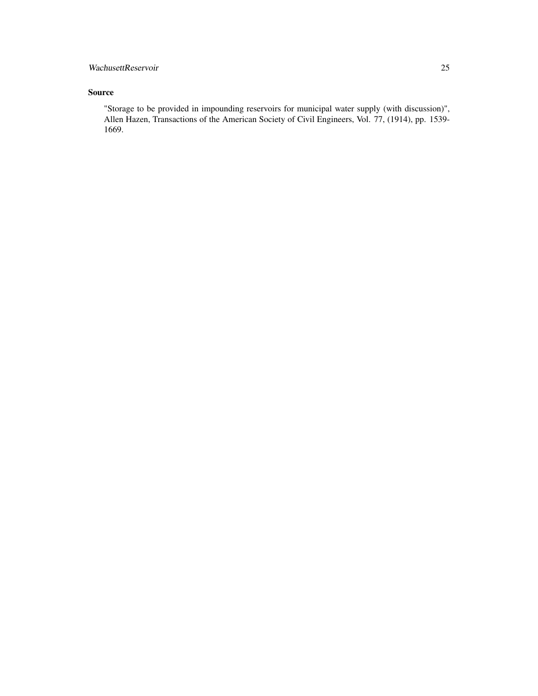# WachusettReservoir 25

# Source

"Storage to be provided in impounding reservoirs for municipal water supply (with discussion)", Allen Hazen, Transactions of the American Society of Civil Engineers, Vol. 77, (1914), pp. 1539- 1669.